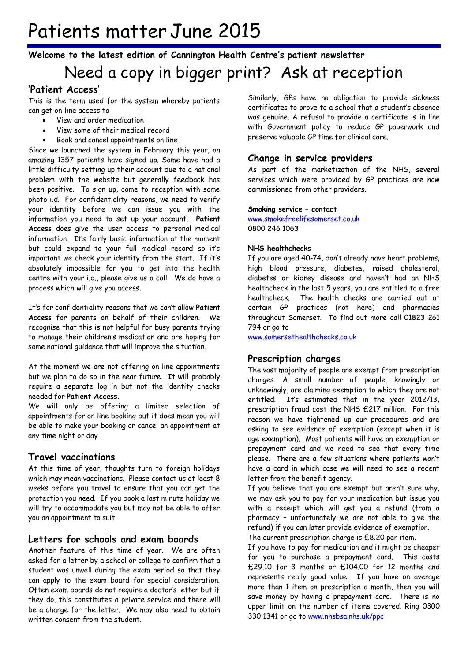# Patients matter June 2015

# **Welcome to the latest edition of Cannington Health Centre's patient newsletter** Need a copy in bigger print? Ask at reception

# **'Patient Access'**

This is the term used for the system whereby patients can get on-line access to

- View and order medication
- View some of their medical record
- Book and cancel appointments on line

Since we launched the system in February this year, an amazing 1357 patients have signed up. Some have had a little difficulty setting up their account due to a national problem with the website but generally feedback has been positive. To sign up, come to reception with some photo i.d. For confidentiality reasons, we need to verify your identity before we can issue you with the information you need to set up your account. **Patient Access** does give the user access to personal medical information. It's fairly basic information at the moment but could expand to your full medical record so it's important we check your identity from the start. If it's absolutely impossible for you to get into the health centre with your i.d., please give us a call. We do have a process which will give you access.

It's for confidentiality reasons that we can't allow **Patient Access** for parents on behalf of their children. We recognise that this is not helpful for busy parents trying to manage their children's medication and are hoping for some national guidance that will improve the situation.

At the moment we are not offering on line appointments but we plan to do so in the near future. It will probably require a separate log in but not the identity checks needed for **Patient Access**.

We will only be offering a limited selection of appointments for on line booking but it does mean you will be able to make your booking or cancel an appointment at any time night or day

# **Travel vaccinations**

At this time of year, thoughts turn to foreign holidays which may mean vaccinations. Please contact us at least 8 weeks before you travel to ensure that you can get the protection you need. If you book a last minute holiday we will try to accommodate you but may not be able to offer you an appointment to suit.

# **Letters for schools and exam boards**

Another feature of this time of year. We are often asked for a letter by a school or college to confirm that a student was unwell during the exam period so that they can apply to the exam board for special consideration. Often exam boards do not require a doctor's letter but if they do, this constitutes a private service and there will be a charge for the letter. We may also need to obtain written consent from the student.

Similarly, GPs have no obligation to provide sickness certificates to prove to a school that a student's absence was genuine. A refusal to provide a certificate is in line with Government policy to reduce GP paperwork and preserve valuable GP time for clinical care.

# **Change in service providers**

As part of the marketization of the NHS, several services which were provided by GP practices are now commissioned from other providers.

#### **Smoking service – contact**

[www.smokefreelifesomerset.co.uk](http://www.smokefreelifesomerset.co.uk/) 0800 246 1063

#### **NHS healthchecks**

If you are aged 40-74, don't already have heart problems, high blood pressure, diabetes, raised cholesterol, diabetes or kidney disease and haven't had an NHS healthcheck in the last 5 years, you are entitled to a free healthcheck. The health checks are carried out at certain GP practices (not here) and pharmacies throughout Somerset. To find out more call 01823 261 794 or go to

[www.somersethealthchecks.co.uk](http://www.somersethealthchecks.co.uk/)

# **Prescription charges**

The vast majority of people are exempt from prescription charges. A small number of people, knowingly or unknowingly, are claiming exemption to which they are not entitled. It's estimated that in the year 2012/13, prescription fraud cost the NHS £217 million. For this reason we have tightened up our procedures and are asking to see evidence of exemption (except when it is age exemption). Most patients will have an exemption or prepayment card and we need to see that every time please. There are a few situations where patients won't have a card in which case we will need to see a recent letter from the benefit agency.

If you believe that you are exempt but aren't sure why, we may ask you to pay for your medication but issue you with a receipt which will get you a refund (from a pharmacy – unfortunately we are not able to give the refund) if you can later provide evidence of exemption. The current prescription charge is £8.20 per item.

If you have to pay for medication and it might be cheaper for you to purchase a prepayment card. This costs £29.10 for 3 months or £104.00 for 12 months and represents really good value. If you have on average more than 1 item on prescription a month, then you will save money by having a prepayment card. There is no upper limit on the number of items covered. Ring 0300 330 1341 or go to [www.nhsbsa.nhs.uk/ppc](http://www.nhsbsa.nhs.uk/ppc)